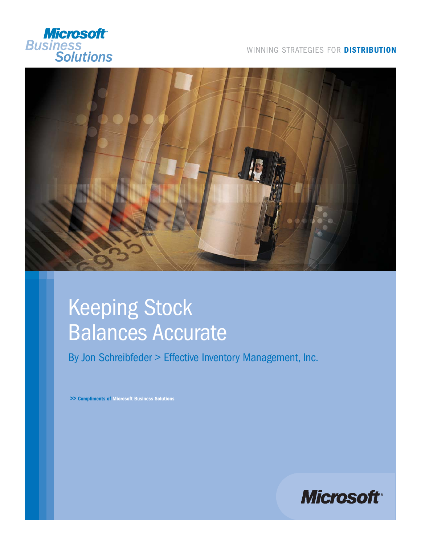

#### WINNING STRATEGIES FOR **DISTRIBUTION**



# Keeping Stock Balances Accurate

By Jon Schreibfeder > Effective Inventory Management, Inc.

**>> Compliments of Microsoft Business Solutions**

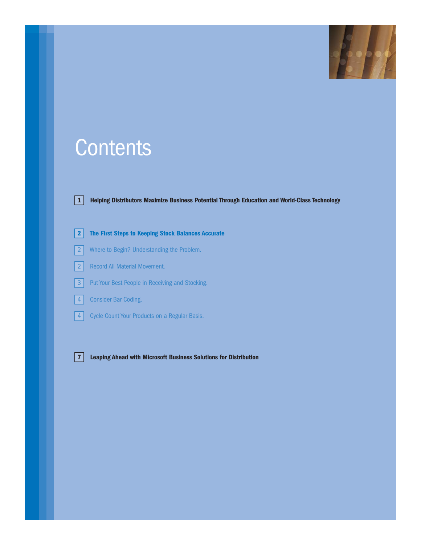

## **Contents**



**1 Helping Distributors Maximize Business Potential Through Education and World-Class Technology**

**2 The First Steps to Keeping Stock Balances Accurate**

- 2 Where to Begin? Understanding the Problem.
- 2 Record All Material Movement.



- **3** Put Your Best People in Receiving and Stocking.
- 4 Consider Bar Coding.
- **4** Cycle Count Your Products on a Regular Basis.

**7 Leaping Ahead with Microsoft Business Solutions for Distribution**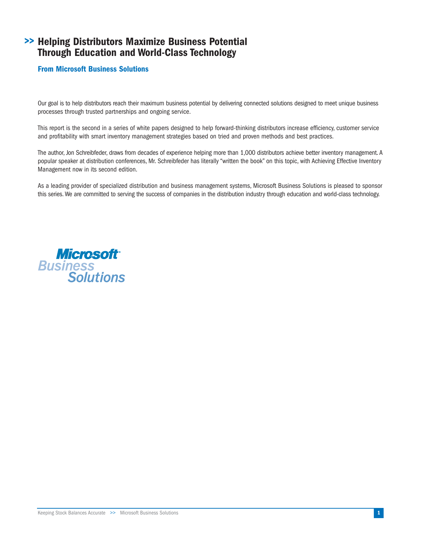## **Helping Distributors Maximize Business Potential >> Through Education and World-Class Technology**

#### **From Microsoft Business Solutions**

Our goal is to help distributors reach their maximum business potential by delivering connected solutions designed to meet unique business processes through trusted partnerships and ongoing service.

This report is the second in a series of white papers designed to help forward-thinking distributors increase efficiency, customer service and profitability with smart inventory management strategies based on tried and proven methods and best practices.

The author, Jon Schreibfeder, draws from decades of experience helping more than 1,000 distributors achieve better inventory management. A popular speaker at distribution conferences, Mr. Schreibfeder has literally "written the book" on this topic, with Achieving Effective Inventory Management now in its second edition.

As a leading provider of specialized distribution and business management systems, Microsoft Business Solutions is pleased to sponsor this series. We are committed to serving the success of companies in the distribution industry through education and world-class technology.

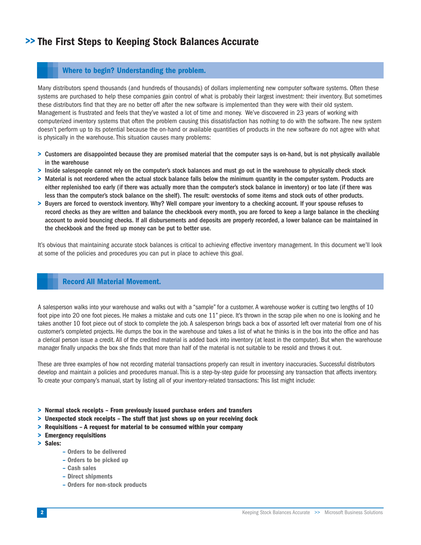## **>> The First Steps to Keeping Stock Balances Accurate**

#### **Where to begin? Understanding the problem.**

Many distributors spend thousands (and hundreds of thousands) of dollars implementing new computer software systems. Often these systems are purchased to help these companies gain control of what is probably their largest investment: their inventory. But sometimes these distributors find that they are no better off after the new software is implemented than they were with their old system. Management is frustrated and feels that they've wasted a lot of time and money. We've discovered in 23 years of working with computerized inventory systems that often the problem causing this dissatisfaction has nothing to do with the software. The new system doesn't perform up to its potential because the on-hand or available quantities of products in the new software do not agree with what is physically in the warehouse. This situation causes many problems:

- **>** Customers are disappointed because they are promised material that the computer says is on-hand, but is not physically available in the warehouse
- **>** Inside salespeople cannot rely on the computer's stock balances and must go out in the warehouse to physically check stock
- **>** Material is not reordered when the actual stock balance falls below the minimum quantity in the computer system. Products are either replenished too early (if there was actually more than the computer's stock balance in inventory) or too late (if there was less than the computer's stock balance on the shelf). The result: overstocks of some items and stock outs of other products.
- **>** Buyers are forced to overstock inventory. Why? Well compare your inventory to a checking account. If your spouse refuses to record checks as they are written and balance the checkbook every month, you are forced to keep a large balance in the checking account to avoid bouncing checks. If all disbursements and deposits are properly recorded, a lower balance can be maintained in the checkbook and the freed up money can be put to better use.

It's obvious that maintaining accurate stock balances is critical to achieving effective inventory management. In this document we'll look at some of the policies and procedures you can put in place to achieve this goal.

#### **Record All Material Movement.**

A salesperson walks into your warehouse and walks out with a "sample" for a customer. A warehouse worker is cutting two lengths of 10 foot pipe into 20 one foot pieces. He makes a mistake and cuts one 11" piece. It's thrown in the scrap pile when no one is looking and he takes another 10 foot piece out of stock to complete the job. A salesperson brings back a box of assorted left over material from one of his customer's completed projects. He dumps the box in the warehouse and takes a list of what he thinks is in the box into the office and has a clerical person issue a credit. All of the credited material is added back into inventory (at least in the computer). But when the warehouse manager finally unpacks the box she finds that more than half of the material is not suitable to be resold and throws it out.

These are three examples of how not recording material transactions properly can result in inventory inaccuracies. Successful distributors develop and maintain a policies and procedures manual. This is a step-by-step guide for processing any transaction that affects inventory. To create your company's manual, start by listing all of your inventory-related transactions: This list might include:

- **> Normal stock receipts From previously issued purchase orders and transfers**
- **> Unexpected stock receipts The stuff that just shows up on your receiving dock**
- **> Requisitions A request for material to be consumed within your company**
- **> Emergency requisitions**
- **> Sales:**
	- **Orders to be delivered**
	- **Orders to be picked up**
	- **Cash sales**
	- **Direct shipments**
	- **Orders for non-stock products**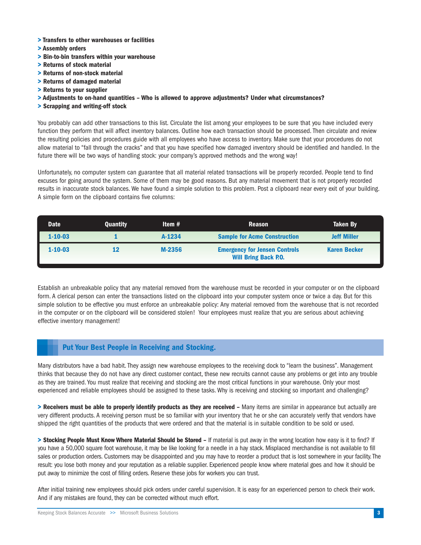- **> Transfers to other warehouses or facilities**
- **> Assembly orders**
- **> Bin-to-bin transfers within your warehouse**
- **> Returns of stock material**
- **> Returns of non-stock material**
- **> Returns of damaged material**
- **> Returns to your supplier**
- **> Adjustments to on-hand quantities Who is allowed to approve adjustments? Under what circumstances?**
- **> Scrapping and writing-off stock**

You probably can add other transactions to this list. Circulate the list among your employees to be sure that you have included every function they perform that will affect inventory balances. Outline how each transaction should be processed. Then circulate and review the resulting policies and procedures guide with all employees who have access to inventory. Make sure that your procedures do not allow material to "fall through the cracks" and that you have specified how damaged inventory should be identified and handled. In the future there will be two ways of handling stock: your company's approved methods and the wrong way!

Unfortunately, no computer system can guarantee that all material related transactions will be properly recorded. People tend to find excuses for going around the system. Some of them may be good reasons. But any material movement that is not properly recorded results in inaccurate stock balances. We have found a simple solution to this problem. Post a clipboard near every exit of your building. A simple form on the clipboard contains five columns:

| <b>Date</b>   | <b>Quantity</b> | Item $#$ | <b>Reason</b>                                                       | <b>Taken By</b>     |
|---------------|-----------------|----------|---------------------------------------------------------------------|---------------------|
| $1 - 10 - 03$ |                 | A-1234   | <b>Sample for Acme Construction</b>                                 | <b>Jeff Miller</b>  |
| $1 - 10 - 03$ |                 | M-2356   | <b>Emergency for Jensen Controls</b><br><b>Will Bring Back P.O.</b> | <b>Karen Becker</b> |

Establish an unbreakable policy that any material removed from the warehouse must be recorded in your computer or on the clipboard form. A clerical person can enter the transactions listed on the clipboard into your computer system once or twice a day. But for this simple solution to be effective you must enforce an unbreakable policy: Any material removed from the warehouse that is not recorded in the computer or on the clipboard will be considered stolen! Your employees must realize that you are serious about achieving effective inventory management!

#### **Put Your Best People in Receiving and Stocking.**

Many distributors have a bad habit. They assign new warehouse employees to the receiving dock to "learn the business". Management thinks that because they do not have any direct customer contact, these new recruits cannot cause any problems or get into any trouble as they are trained. You must realize that receiving and stocking are the most critical functions in your warehouse. Only your most experienced and reliable employees should be assigned to these tasks. Why is receiving and stocking so important and challenging?

**> Receivers must be able to properly identify products as they are received –** Many items are similar in appearance but actually are very different products. A receiving person must be so familiar with your inventory that he or she can accurately verify that vendors have shipped the right quantities of the products that were ordered and that the material is in suitable condition to be sold or used.

**> Stocking People Must Know Where Material Should be Stored –** If material is put away in the wrong location how easy is it to find? If you have a 50,000 square foot warehouse, it may be like looking for a needle in a hay stack. Misplaced merchandise is not available to fill sales or production orders. Customers may be disappointed and you may have to reorder a product that is lost somewhere in your facility. The result: you lose both money and your reputation as a reliable supplier. Experienced people know where material goes and how it should be put away to minimize the cost of filling orders. Reserve these jobs for workers you can trust.

After initial training new employees should pick orders under careful supervision. It is easy for an experienced person to check their work. And if any mistakes are found, they can be corrected without much effort.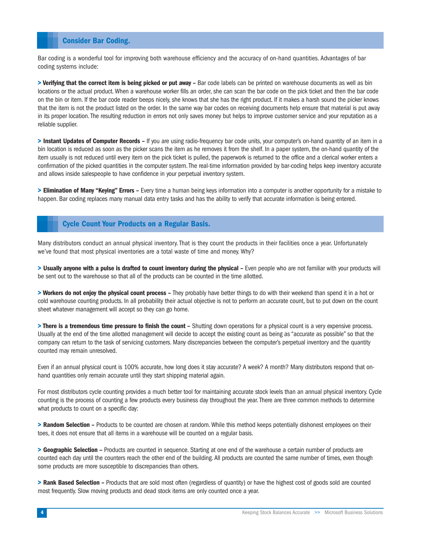#### **Consider Bar Coding.**

Bar coding is a wonderful tool for improving both warehouse efficiency and the accuracy of on-hand quantities. Advantages of bar coding systems include:

> Verifying that the correct item is being picked or put away – Bar code labels can be printed on warehouse documents as well as bin locations or the actual product. When a warehouse worker fills an order, she can scan the bar code on the pick ticket and then the bar code on the bin or item. If the bar code reader beeps nicely, she knows that she has the right product. If it makes a harsh sound the picker knows that the item is not the product listed on the order. In the same way bar codes on receiving documents help ensure that material is put away in its proper location. The resulting reduction in errors not only saves money but helps to improve customer service and your reputation as a reliable supplier.

**> Instant Updates of Computer Records –** If you are using radio-frequency bar code units, your computer's on-hand quantity of an item in a bin location is reduced as soon as the picker scans the item as he removes it from the shelf. In a paper system, the on-hand quantity of the item usually is not reduced until every item on the pick ticket is pulled, the paperwork is returned to the office and a clerical worker enters a confirmation of the picked quantities in the computer system. The real-time information provided by bar-coding helps keep inventory accurate and allows inside salespeople to have confidence in your perpetual inventory system.

**> Elimination of Many "Keying" Errors –** Every time a human being keys information into a computer is another opportunity for a mistake to happen. Bar coding replaces many manual data entry tasks and has the ability to verify that accurate information is being entered.

#### **Cycle Count Your Products on a Regular Basis.**

Many distributors conduct an annual physical inventory. That is they count the products in their facilities once a year. Unfortunately we've found that most physical inventories are a total waste of time and money. Why?

> Usually anyone with a pulse is drafted to count inventory during the physical - Even people who are not familiar with your products will be sent out to the warehouse so that all of the products can be counted in the time allotted.

**> Workers do not enjoy the physical count process –** They probably have better things to do with their weekend than spend it in a hot or cold warehouse counting products. In all probability their actual objective is not to perform an accurate count, but to put down on the count sheet whatever management will accept so they can go home.

**> There is a tremendous time pressure to finish the count –** Shutting down operations for a physical count is a very expensive process. Usually at the end of the time allotted management will decide to accept the existing count as being as "accurate as possible" so that the company can return to the task of servicing customers. Many discrepancies between the computer's perpetual inventory and the quantity counted may remain unresolved.

Even if an annual physical count is 100% accurate, how long does it stay accurate? A week? A month? Many distributors respond that onhand quantities only remain accurate until they start shipping material again.

For most distributors cycle counting provides a much better tool for maintaining accurate stock levels than an annual physical inventory. Cycle counting is the process of counting a few products every business day throughout the year. There are three common methods to determine what products to count on a specific day:

**> Random Selection –** Products to be counted are chosen at random. While this method keeps potentially dishonest employees on their toes, it does not ensure that all items in a warehouse will be counted on a regular basis.

**> Geographic Selection –** Products are counted in sequence. Starting at one end of the warehouse a certain number of products are counted each day until the counters reach the other end of the building. All products are counted the same number of times, even though some products are more susceptible to discrepancies than others.

**> Rank Based Selection –** Products that are sold most often (regardless of quantity) or have the highest cost of goods sold are counted most frequently. Slow moving products and dead stock items are only counted once a year.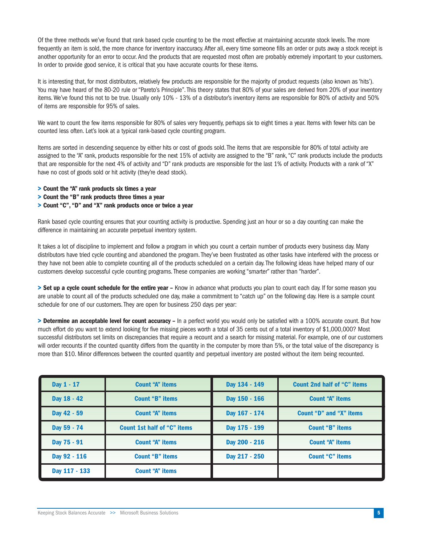Of the three methods we've found that rank based cycle counting to be the most effective at maintaining accurate stock levels. The more frequently an item is sold, the more chance for inventory inaccuracy. After all, every time someone fills an order or puts away a stock receipt is another opportunity for an error to occur. And the products that are requested most often are probably extremely important to your customers. In order to provide good service, it is critical that you have accurate counts for these items.

It is interesting that, for most distributors, relatively few products are responsible for the majority of product requests (also known as 'hits'). You may have heard of the 80-20 rule or "Pareto's Principle". This theory states that 80% of your sales are derived from 20% of your inventory items. We've found this not to be true. Usually only 10% - 13% of a distributor's inventory items are responsible for 80% of activity and 50% of items are responsible for 95% of sales.

We want to count the few items responsible for 80% of sales very frequently, perhaps six to eight times a year. Items with fewer hits can be counted less often. Let's look at a typical rank-based cycle counting program.

Items are sorted in descending sequence by either hits or cost of goods sold. The items that are responsible for 80% of total activity are assigned to the "A" rank, products responsible for the next 15% of activity are assigned to the "B" rank, "C" rank products include the products that are responsible for the next 4% of activity and "D" rank products are responsible for the last 1% of activity. Products with a rank of "X" have no cost of goods sold or hit activity (they're dead stock).

- **> Count the "A" rank products six times a year**
- **> Count the "B" rank products three times a year**
- **> Count "C", "D" and "X" rank products once or twice a year**

Rank based cycle counting ensures that your counting activity is productive. Spending just an hour or so a day counting can make the difference in maintaining an accurate perpetual inventory system.

It takes a lot of discipline to implement and follow a program in which you count a certain number of products every business day. Many distributors have tried cycle counting and abandoned the program. They've been frustrated as other tasks have interfered with the process or they have not been able to complete counting all of the products scheduled on a certain day. The following ideas have helped many of our customers develop successful cycle counting programs. These companies are working "smarter" rather than "harder".

**> Set up a cycle count schedule for the entire year –** Know in advance what products you plan to count each day. If for some reason you are unable to count all of the products scheduled one day, make a commitment to "catch up" on the following day. Here is a sample count schedule for one of our customers. They are open for business 250 days per year:

**> Determine an acceptable level for count accuracy –** In a perfect world you would only be satisfied with a 100% accurate count. But how much effort do you want to extend looking for five missing pieces worth a total of 35 cents out of a total inventory of \$1,000,000? Most successful distributors set limits on discrepancies that require a recount and a search for missing material. For example, one of our customers will order recounts if the counted quantity differs from the quantity in the computer by more than 5%, or the total value of the discrepancy is more than \$10. Minor differences between the counted quantity and perpetual inventory are posted without the item being recounted.

| Day 1 - 17    | <b>Count "A" items</b>             | Day 134 - 149 | <b>Count 2nd half of "C" items</b> |
|---------------|------------------------------------|---------------|------------------------------------|
| Day 18 - 42   | <b>Count "B" items</b>             | Day 150 - 166 | <b>Count "A" items</b>             |
| Day 42 - 59   | <b>Count "A" items</b>             | Day 167 - 174 | <b>Count "D" and "X" items</b>     |
| Day 59 - 74   | <b>Count 1st half of "C" items</b> | Day 175 - 199 | <b>Count "B" items</b>             |
| Day 75 - 91   | <b>Count "A" items</b>             | Day 200 - 216 | <b>Count "A" items</b>             |
| Day 92 - 116  | <b>Count "B" items</b>             | Day 217 - 250 | <b>Count "C" items</b>             |
| Day 117 - 133 | <b>Count "A" items</b>             |               |                                    |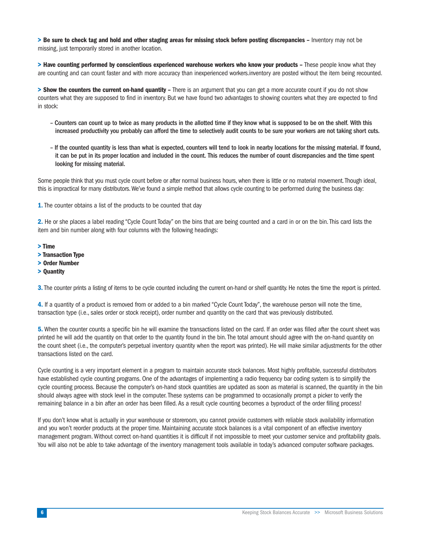**> Be sure to check tag and hold and other staging areas for missing stock before posting discrepancies –** Inventory may not be missing, just temporarily stored in another location.

**> Have counting performed by conscientious experienced warehouse workers who know your products –** These people know what they are counting and can count faster and with more accuracy than inexperienced workers.inventory are posted without the item being recounted.

**> Show the counters the current on-hand quantity –** There is an argument that you can get a more accurate count if you do not show counters what they are supposed to find in inventory. But we have found two advantages to showing counters what they are expected to find in stock:

- Counters can count up to twice as many products in the allotted time if they know what is supposed to be on the shelf. With this increased productivity you probably can afford the time to selectively audit counts to be sure your workers are not taking short cuts.
- If the counted quantity is less than what is expected, counters will tend to look in nearby locations for the missing material. If found, it can be put in its proper location and included in the count. This reduces the number of count discrepancies and the time spent looking for missing material.

Some people think that you must cycle count before or after normal business hours, when there is little or no material movement. Though ideal, this is impractical for many distributors.We've found a simple method that allows cycle counting to be performed during the business day:

**1.** The counter obtains a list of the products to be counted that day

**2.** He or she places a label reading "Cycle Count Today" on the bins that are being counted and a card in or on the bin. This card lists the item and bin number along with four columns with the following headings:

- **> Time**
- **> Transaction Type**
- **> Order Number**
- **> Quantity**

**3.**The counter prints a listing of items to be cycle counted including the current on-hand or shelf quantity. He notes the time the report is printed.

**4.** If a quantity of a product is removed from or added to a bin marked "Cycle Count Today", the warehouse person will note the time, transaction type (i.e., sales order or stock receipt), order number and quantity on the card that was previously distributed.

**5.** When the counter counts a specific bin he will examine the transactions listed on the card. If an order was filled after the count sheet was printed he will add the quantity on that order to the quantity found in the bin. The total amount should agree with the on-hand quantity on the count sheet (i.e., the computer's perpetual inventory quantity when the report was printed). He will make similar adjustments for the other transactions listed on the card.

Cycle counting is a very important element in a program to maintain accurate stock balances. Most highly profitable, successful distributors have established cycle counting programs. One of the advantages of implementing a radio frequency bar coding system is to simplify the cycle counting process. Because the computer's on-hand stock quantities are updated as soon as material is scanned, the quantity in the bin should always agree with stock level in the computer. These systems can be programmed to occasionally prompt a picker to verify the remaining balance in a bin after an order has been filled. As a result cycle counting becomes a byproduct of the order filling process!

If you don't know what is actually in your warehouse or storeroom, you cannot provide customers with reliable stock availability information and you won't reorder products at the proper time. Maintaining accurate stock balances is a vital component of an effective inventory management program. Without correct on-hand quantities it is difficult if not impossible to meet your customer service and profitability goals. You will also not be able to take advantage of the inventory management tools available in today's advanced computer software packages.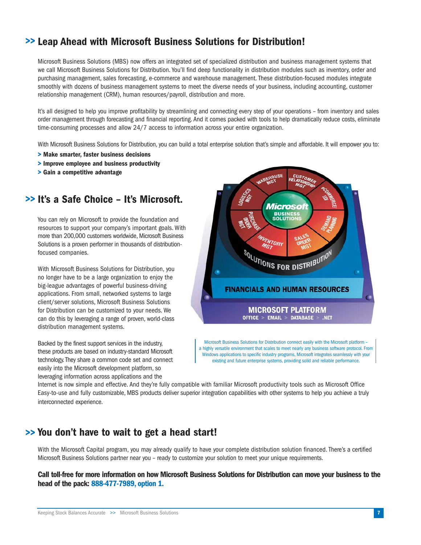## **Leap Ahead with Microsoft Business Solutions for Distribution! >>**

Microsoft Business Solutions (MBS) now offers an integrated set of specialized distribution and business management systems that we call Microsoft Business Solutions for Distribution. You'll find deep functionality in distribution modules such as inventory, order and purchasing management, sales forecasting, e-commerce and warehouse management. These distribution-focused modules integrate smoothly with dozens of business management systems to meet the diverse needs of your business, including accounting, customer relationship management (CRM), human resources/payroll, distribution and more.

It's all designed to help you improve profitability by streamlining and connecting every step of your operations – from inventory and sales order management through forecasting and financial reporting. And it comes packed with tools to help dramatically reduce costs, eliminate time-consuming processes and allow 24/7 access to information across your entire organization.

With Microsoft Business Solutions for Distribution, you can build a total enterprise solution that's simple and affordable. It will empower you to:

- **> Make smarter, faster business decisions**
- **> Improve employee and business productivity**
- **> Gain a competitive advantage**

## **It's a Safe Choice – It's Microsoft. >>**

You can rely on Microsoft to provide the foundation and resources to support your company's important goals. With more than 200,000 customers worldwide, Microsoft Business Solutions is a proven performer in thousands of distributionfocused companies.

With Microsoft Business Solutions for Distribution, you no longer have to be a large organization to enjoy the big-league advantages of powerful business-driving applications. From small, networked systems to large client/server solutions, Microsoft Business Solutions for Distribution can be customized to your needs. We can do this by leveraging a range of proven, world-class distribution management systems.

Backed by the finest support services in the industry, these products are based on industry-standard Microsoft technology.They share a common code set and connect easily into the Microsoft development platform, so leveraging information across applications and the



Microsoft Business Solutions for Distribution connect easily with the Microsoft platform – a highly versatile environment that scales to meet nearly any business software protocol. From Windows applications to specific industry programs, Microsoft integrates seamlessly with your existing and future enterprise systems, providing solid and reliable performance.

Internet is now simple and effective. And they're fully compatible with familiar Microsoft productivity tools such as Microsoft Office Easy-to-use and fully customizable, MBS products deliver superior integration capabilities with other systems to help you achieve a truly interconnected experience.

## **You don't have to wait to get a head start! >>**

With the Microsoft Capital program, you may already qualify to have your complete distribution solution financed. There's a certified Microsoft Business Solutions partner near you – ready to customize your solution to meet your unique requirements.

**Call toll-free for more information on how Microsoft Business Solutions for Distribution can move your business to the head of the pack: 888-477-7989, option 1.**